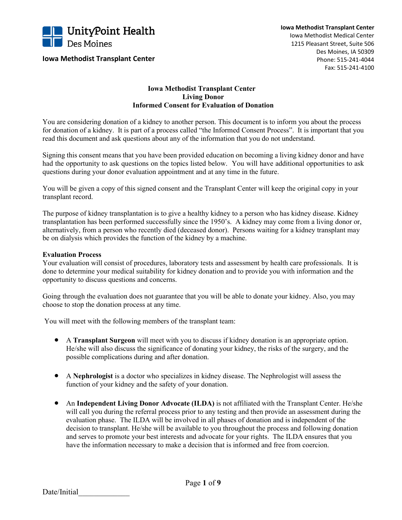

**Iowa Methodist Transplant Center**

## **Iowa Methodist Transplant Center Living Donor Informed Consent for Evaluation of Donation**

You are considering donation of a kidney to another person. This document is to inform you about the process for donation of a kidney. It is part of a process called "the Informed Consent Process". It is important that you read this document and ask questions about any of the information that you do not understand.

Signing this consent means that you have been provided education on becoming a living kidney donor and have had the opportunity to ask questions on the topics listed below. You will have additional opportunities to ask questions during your donor evaluation appointment and at any time in the future.

You will be given a copy of this signed consent and the Transplant Center will keep the original copy in your transplant record.

The purpose of kidney transplantation is to give a healthy kidney to a person who has kidney disease. Kidney transplantation has been performed successfully since the 1950's. A kidney may come from a living donor or, alternatively, from a person who recently died (deceased donor). Persons waiting for a kidney transplant may be on dialysis which provides the function of the kidney by a machine.

## **Evaluation Process**

Your evaluation will consist of procedures, laboratory tests and assessment by health care professionals. It is done to determine your medical suitability for kidney donation and to provide you with information and the opportunity to discuss questions and concerns.

Going through the evaluation does not guarantee that you will be able to donate your kidney. Also, you may choose to stop the donation process at any time.

You will meet with the following members of the transplant team:

- A **Transplant Surgeon** will meet with you to discuss if kidney donation is an appropriate option. He/she will also discuss the significance of donating your kidney, the risks of the surgery, and the possible complications during and after donation.
- A **Nephrologist** is a doctor who specializes in kidney disease. The Nephrologist will assess the function of your kidney and the safety of your donation.
- An **Independent Living Donor Advocate (ILDA)** is not affiliated with the Transplant Center. He/she will call you during the referral process prior to any testing and then provide an assessment during the evaluation phase. The ILDA will be involved in all phases of donation and is independent of the decision to transplant. He/she will be available to you throughout the process and following donation and serves to promote your best interests and advocate for your rights. The ILDA ensures that you have the information necessary to make a decision that is informed and free from coercion.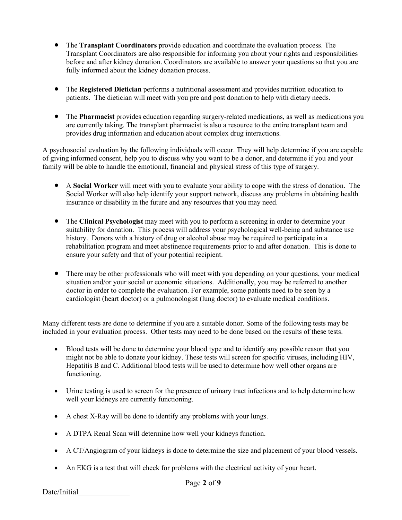- The **Transplant Coordinators** provide education and coordinate the evaluation process. The Transplant Coordinators are also responsible for informing you about your rights and responsibilities before and after kidney donation. Coordinators are available to answer your questions so that you are fully informed about the kidney donation process.
- The **Registered Dietician** performs a nutritional assessment and provides nutrition education to patients. The dietician will meet with you pre and post donation to help with dietary needs.
- The **Pharmacist** provides education regarding surgery-related medications, as well as medications you are currently taking. The transplant pharmacist is also a resource to the entire transplant team and provides drug information and education about complex drug interactions.

A psychosocial evaluation by the following individuals will occur. They will help determine if you are capable of giving informed consent, help you to discuss why you want to be a donor, and determine if you and your family will be able to handle the emotional, financial and physical stress of this type of surgery.

- A **Social Worker** will meet with you to evaluate your ability to cope with the stress of donation. The Social Worker will also help identify your support network, discuss any problems in obtaining health insurance or disability in the future and any resources that you may need.
- The **Clinical Psychologist** may meet with you to perform a screening in order to determine your suitability for donation. This process will address your psychological well-being and substance use history. Donors with a history of drug or alcohol abuse may be required to participate in a rehabilitation program and meet abstinence requirements prior to and after donation. This is done to ensure your safety and that of your potential recipient.
- There may be other professionals who will meet with you depending on your questions, your medical situation and/or your social or economic situations. Additionally, you may be referred to another doctor in order to complete the evaluation. For example, some patients need to be seen by a cardiologist (heart doctor) or a pulmonologist (lung doctor) to evaluate medical conditions.

Many different tests are done to determine if you are a suitable donor. Some of the following tests may be included in your evaluation process. Other tests may need to be done based on the results of these tests.

- Blood tests will be done to determine your blood type and to identify any possible reason that you might not be able to donate your kidney. These tests will screen for specific viruses, including HIV, Hepatitis B and C. Additional blood tests will be used to determine how well other organs are functioning.
- Urine testing is used to screen for the presence of urinary tract infections and to help determine how well your kidneys are currently functioning.
- A chest X-Ray will be done to identify any problems with your lungs.
- A DTPA Renal Scan will determine how well your kidneys function.
- A CT/Angiogram of your kidneys is done to determine the size and placement of your blood vessels.
- An EKG is a test that will check for problems with the electrical activity of your heart.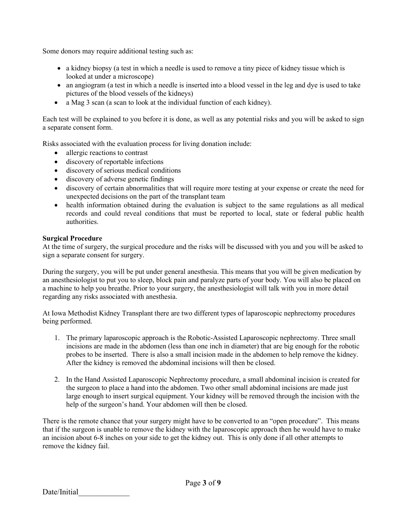Some donors may require additional testing such as:

- a kidney biopsy (a test in which a needle is used to remove a tiny piece of kidney tissue which is looked at under a microscope)
- an angiogram (a test in which a needle is inserted into a blood vessel in the leg and dye is used to take pictures of the blood vessels of the kidneys)
- a Mag 3 scan (a scan to look at the individual function of each kidney).

Each test will be explained to you before it is done, as well as any potential risks and you will be asked to sign a separate consent form.

Risks associated with the evaluation process for living donation include:

- allergic reactions to contrast
- discovery of reportable infections
- discovery of serious medical conditions
- discovery of adverse genetic findings
- discovery of certain abnormalities that will require more testing at your expense or create the need for unexpected decisions on the part of the transplant team
- health information obtained during the evaluation is subject to the same regulations as all medical records and could reveal conditions that must be reported to local, state or federal public health authorities.

## **Surgical Procedure**

At the time of surgery, the surgical procedure and the risks will be discussed with you and you will be asked to sign a separate consent for surgery.

During the surgery, you will be put under general anesthesia. This means that you will be given medication by an anesthesiologist to put you to sleep, block pain and paralyze parts of your body. You will also be placed on a machine to help you breathe. Prior to your surgery, the anesthesiologist will talk with you in more detail regarding any risks associated with anesthesia.

At Iowa Methodist Kidney Transplant there are two different types of laparoscopic nephrectomy procedures being performed.

- 1. The primary laparoscopic approach is the Robotic-Assisted Laparoscopic nephrectomy. Three small incisions are made in the abdomen (less than one inch in diameter) that are big enough for the robotic probes to be inserted. There is also a small incision made in the abdomen to help remove the kidney. After the kidney is removed the abdominal incisions will then be closed.
- 2. In the Hand Assisted Laparoscopic Nephrectomy procedure, a small abdominal incision is created for the surgeon to place a hand into the abdomen. Two other small abdominal incisions are made just large enough to insert surgical equipment. Your kidney will be removed through the incision with the help of the surgeon's hand. Your abdomen will then be closed.

There is the remote chance that your surgery might have to be converted to an "open procedure". This means that if the surgeon is unable to remove the kidney with the laparoscopic approach then he would have to make an incision about 6-8 inches on your side to get the kidney out. This is only done if all other attempts to remove the kidney fail.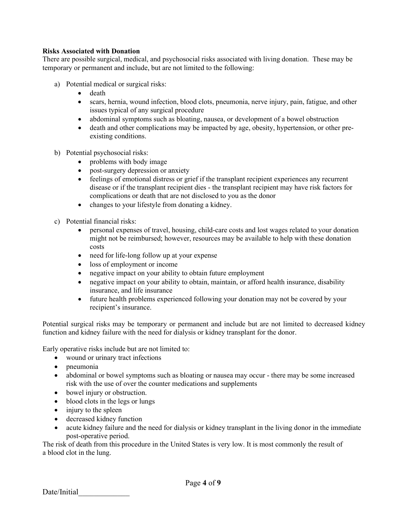# **Risks Associated with Donation**

There are possible surgical, medical, and psychosocial risks associated with living donation. These may be temporary or permanent and include, but are not limited to the following:

- a) Potential medical or surgical risks:
	- death
	- scars, hernia, wound infection, blood clots, pneumonia, nerve injury, pain, fatigue, and other issues typical of any surgical procedure
	- abdominal symptoms such as bloating, nausea, or development of a bowel obstruction
	- death and other complications may be impacted by age, obesity, hypertension, or other preexisting conditions.
- b) Potential psychosocial risks:
	- problems with body image
	- post-surgery depression or anxiety
	- feelings of emotional distress or grief if the transplant recipient experiences any recurrent disease or if the transplant recipient dies - the transplant recipient may have risk factors for complications or death that are not disclosed to you as the donor
	- changes to your lifestyle from donating a kidney.
- c) Potential financial risks:
	- personal expenses of travel, housing, child-care costs and lost wages related to your donation might not be reimbursed; however, resources may be available to help with these donation costs
	- need for life-long follow up at your expense
	- loss of employment or income
	- negative impact on your ability to obtain future employment
	- negative impact on your ability to obtain, maintain, or afford health insurance, disability insurance, and life insurance
	- future health problems experienced following your donation may not be covered by your recipient's insurance.

Potential surgical risks may be temporary or permanent and include but are not limited to decreased kidney function and kidney failure with the need for dialysis or kidney transplant for the donor.

Early operative risks include but are not limited to:

- wound or urinary tract infections
- pneumonia
- abdominal or bowel symptoms such as bloating or nausea may occur there may be some increased risk with the use of over the counter medications and supplements
- bowel injury or obstruction.
- blood clots in the legs or lungs
- injury to the spleen
- decreased kidney function
- acute kidney failure and the need for dialysis or kidney transplant in the living donor in the immediate post-operative period.

The risk of death from this procedure in the United States is very low. It is most commonly the result of a blood clot in the lung.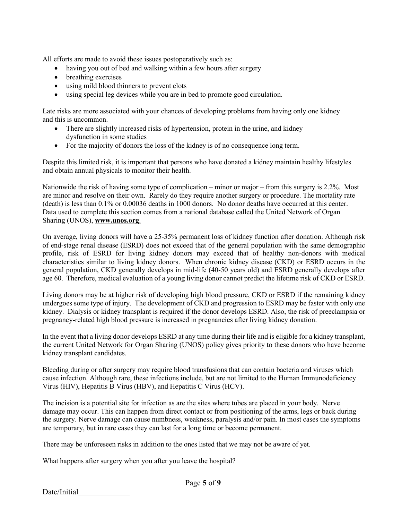All efforts are made to avoid these issues postoperatively such as:

- having you out of bed and walking within a few hours after surgery
- breathing exercises
- using mild blood thinners to prevent clots
- using special leg devices while you are in bed to promote good circulation.

Late risks are more associated with your chances of developing problems from having only one kidney and this is uncommon.

- There are slightly increased risks of hypertension, protein in the urine, and kidney dysfunction in some studies
- For the majority of donors the loss of the kidney is of no consequence long term.

Despite this limited risk, it is important that persons who have donated a kidney maintain healthy lifestyles and obtain annual physicals to monitor their health.

Nationwide the risk of having some type of complication – minor or major – from this surgery is 2.2%. Most are minor and resolve on their own. Rarely do they require another surgery or procedure. The mortality rate (death) is less than 0.1% or 0.00036 deaths in 1000 donors. No donor deaths have occurred at this center. Data used to complete this section comes from a national database called the United Network of Organ Sharing (UNOS), **[www.unos.org](http://www.unos.org/)**.

On average, living donors will have a 25-35% permanent loss of kidney function after donation. Although risk of end-stage renal disease (ESRD) does not exceed that of the general population with the same demographic profile, risk of ESRD for living kidney donors may exceed that of healthy non-donors with medical characteristics similar to living kidney donors. When chronic kidney disease (CKD) or ESRD occurs in the general population, CKD generally develops in mid-life (40-50 years old) and ESRD generally develops after age 60. Therefore, medical evaluation of a young living donor cannot predict the lifetime risk of CKD or ESRD.

Living donors may be at higher risk of developing high blood pressure, CKD or ESRD if the remaining kidney undergoes some type of injury. The development of CKD and progression to ESRD may be faster with only one kidney. Dialysis or kidney transplant is required if the donor develops ESRD. Also, the risk of preeclampsia or pregnancy-related high blood pressure is increased in pregnancies after living kidney donation.

In the event that a living donor develops ESRD at any time during their life and is eligible for a kidney transplant, the current United Network for Organ Sharing (UNOS) policy gives priority to these donors who have become kidney transplant candidates.

Bleeding during or after surgery may require blood transfusions that can contain bacteria and viruses which cause infection. Although rare, these infections include, but are not limited to the Human Immunodeficiency Virus (HIV), Hepatitis B Virus (HBV), and Hepatitis C Virus (HCV).

The incision is a potential site for infection as are the sites where tubes are placed in your body. Nerve damage may occur. This can happen from direct contact or from positioning of the arms, legs or back during the surgery. Nerve damage can cause numbness, weakness, paralysis and/or pain. In most cases the symptoms are temporary, but in rare cases they can last for a long time or become permanent.

There may be unforeseen risks in addition to the ones listed that we may not be aware of yet.

What happens after surgery when you after you leave the hospital?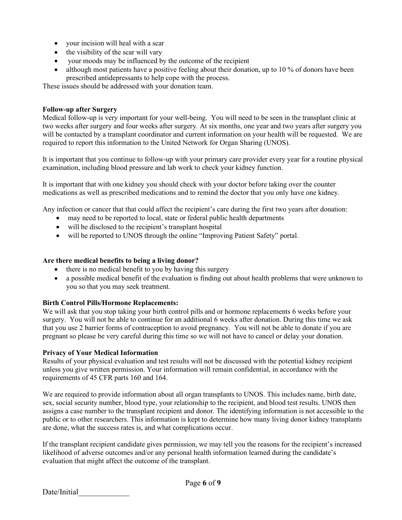- your incision will heal with a scar
- the visibility of the scar will vary
- your moods may be influenced by the outcome of the recipient
- although most patients have a positive feeling about their donation, up to 10 % of donors have been prescribed antidepressants to help cope with the process.

These issues should be addressed with your donation team.

#### **Follow-up after Surgery**

Medical follow-up is very important for your well-being. You will need to be seen in the transplant clinic at two weeks after surgery and four weeks after surgery*.* At six months, one year and two years after surgery you will be contacted by a transplant coordinator and current information on your health will be requested. We are required to report this information to the United Network for Organ Sharing (UNOS).

It is important that you continue to follow-up with your primary care provider every year for a routine physical examination, including blood pressure and lab work to check your kidney function.

It is important that with one kidney you should check with your doctor before taking over the counter medications as well as prescribed medications and to remind the doctor that you only have one kidney.

Any infection or cancer that that could affect the recipient's care during the first two years after donation:

- may need to be reported to local, state or federal public health departments
- will be disclosed to the recipient's transplant hospital
- will be reported to UNOS through the online "Improving Patient Safety" portal.

#### **Are there medical benefits to being a living donor?**

- there is no medical benefit to you by having this surgery
- a possible medical benefit of the evaluation is finding out about health problems that were unknown to you so that you may seek treatment.

## **Birth Control Pills/Hormone Replacements:**

We will ask that you stop taking your birth control pills and or hormone replacements 6 weeks before your surgery. You will not be able to continue for an additional 6 weeks after donation. During this time we ask that you use 2 barrier forms of contraception to avoid pregnancy. You will not be able to donate if you are pregnant so please be very careful during this time so we will not have to cancel or delay your donation.

## **Privacy of Your Medical Information**

Results of your physical evaluation and test results will not be discussed with the potential kidney recipient unless you give written permission. Your information will remain confidential, in accordance with the requirements of 45 CFR parts 160 and 164.

We are required to provide information about all organ transplants to UNOS. This includes name, birth date, sex, social security number, blood type, your relationship to the recipient, and blood test results. UNOS then assigns a case number to the transplant recipient and donor. The identifying information is not accessible to the public or to other researchers. This information is kept to determine how many living donor kidney transplants are done, what the success rates is, and what complications occur.

If the transplant recipient candidate gives permission, we may tell you the reasons for the recipient's increased likelihood of adverse outcomes and/or any personal health information learned during the candidate's evaluation that might affect the outcome of the transplant.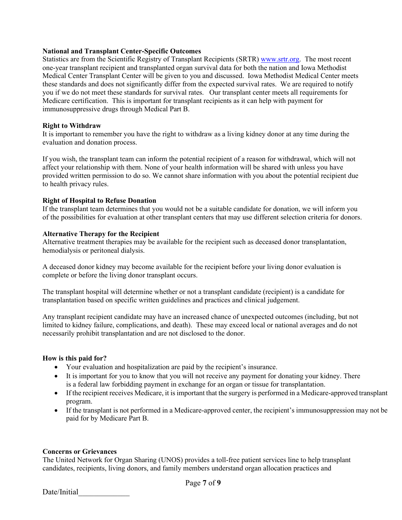## **National and Transplant Center-Specific Outcomes**

Statistics are from the Scientific Registry of Transplant Recipients (SRTR) [www.srtr.org.](http://www.srtr.org/) The most recent one-year transplant recipient and transplanted organ survival data for both the nation and Iowa Methodist Medical Center Transplant Center will be given to you and discussed. Iowa Methodist Medical Center meets these standards and does not significantly differ from the expected survival rates. We are required to notify you if we do not meet these standards for survival rates. Our transplant center meets all requirements for Medicare certification. This is important for transplant recipients as it can help with payment for immunosuppressive drugs through Medical Part B.

## **Right to Withdraw**

It is important to remember you have the right to withdraw as a living kidney donor at any time during the evaluation and donation process.

If you wish, the transplant team can inform the potential recipient of a reason for withdrawal, which will not affect your relationship with them. None of your health information will be shared with unless you have provided written permission to do so. We cannot share information with you about the potential recipient due to health privacy rules.

# **Right of Hospital to Refuse Donation**

If the transplant team determines that you would not be a suitable candidate for donation, we will inform you of the possibilities for evaluation at other transplant centers that may use different selection criteria for donors.

## **Alternative Therapy for the Recipient**

Alternative treatment therapies may be available for the recipient such as deceased donor transplantation, hemodialysis or peritoneal dialysis.

A deceased donor kidney may become available for the recipient before your living donor evaluation is complete or before the living donor transplant occurs.

The transplant hospital will determine whether or not a transplant candidate (recipient) is a candidate for transplantation based on specific written guidelines and practices and clinical judgement.

Any transplant recipient candidate may have an increased chance of unexpected outcomes (including, but not limited to kidney failure, complications, and death). These may exceed local or national averages and do not necessarily prohibit transplantation and are not disclosed to the donor.

## **How is this paid for?**

- Your evaluation and hospitalization are paid by the recipient's insurance.
- It is important for you to know that you will not receive any payment for donating your kidney. There is a federal law forbidding payment in exchange for an organ or tissue for transplantation.
- If the recipient receives Medicare, it is important that the surgery is performed in a Medicare-approved transplant program.
- If the transplant is not performed in a Medicare-approved center, the recipient's immunosuppression may not be paid for by Medicare Part B.

## **Concerns or Grievances**

The United Network for Organ Sharing (UNOS) provides a toll-free patient services line to help transplant candidates, recipients, living donors, and family members understand organ allocation practices and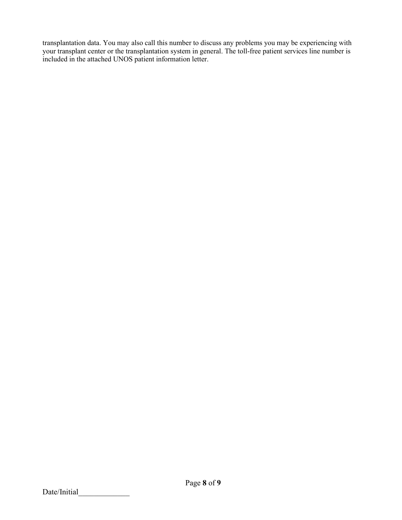transplantation data. You may also call this number to discuss any problems you may be experiencing with your transplant center or the transplantation system in general. The toll-free patient services line number is included in the attached UNOS patient information letter.